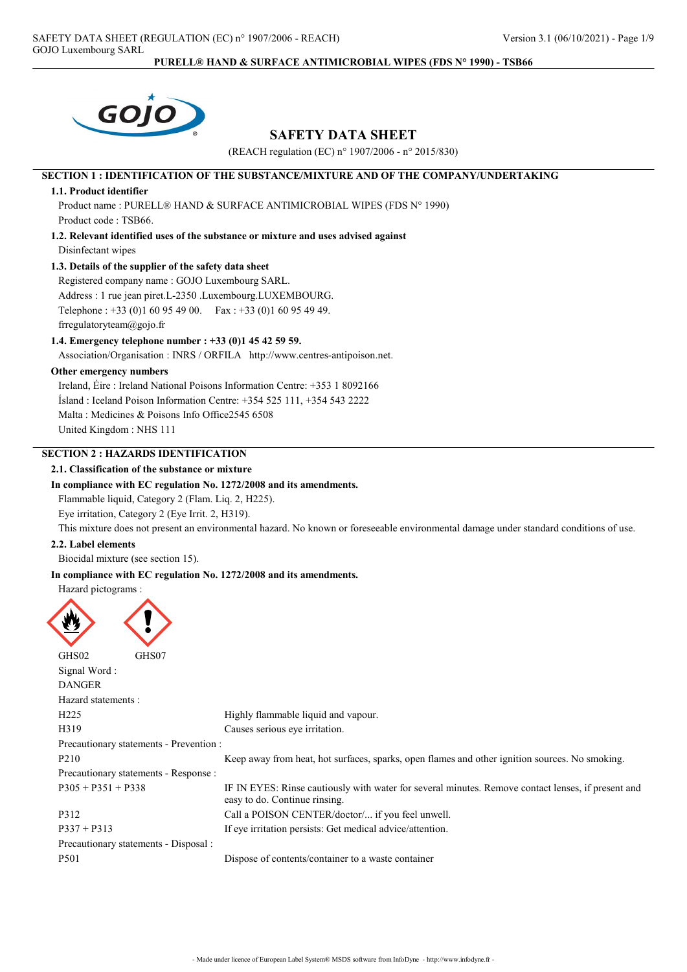

## SAFETY DATA SHEET

(REACH regulation (EC) n° 1907/2006 - n° 2015/830)

## SECTION 1 : IDENTIFICATION OF THE SUBSTANCE/MIXTURE AND OF THE COMPANY/UNDERTAKING

### 1.1. Product identifier

Product name : PURELL® HAND & SURFACE ANTIMICROBIAL WIPES (FDS N° 1990) Product code : TSB66.

1.2. Relevant identified uses of the substance or mixture and uses advised against Disinfectant wipes

#### 1.3. Details of the supplier of the safety data sheet

Registered company name : GOJO Luxembourg SARL. Address : 1 rue jean piret.L-2350 .Luxembourg.LUXEMBOURG. Telephone : +33 (0)1 60 95 49 00. Fax : +33 (0)1 60 95 49 49. frregulatoryteam@gojo.fr

### 1.4. Emergency telephone number : +33 (0)1 45 42 59 59.

Association/Organisation : INRS / ORFILA http://www.centres-antipoison.net.

### Other emergency numbers

Ireland, Éire : Ireland National Poisons Information Centre: +353 1 8092166 Ísland : Iceland Poison Information Centre: +354 525 111, +354 543 2222 Malta : Medicines & Poisons Info Office2545 6508 United Kingdom : NHS 111

### SECTION 2 : HAZARDS IDENTIFICATION

### 2.1. Classification of the substance or mixture

### In compliance with EC regulation No. 1272/2008 and its amendments.

Flammable liquid, Category 2 (Flam. Liq. 2, H225).

Eye irritation, Category 2 (Eye Irrit. 2, H319).

This mixture does not present an environmental hazard. No known or foreseeable environmental damage under standard conditions of use.

### 2.2. Label elements

Biocidal mixture (see section 15).

### In compliance with EC regulation No. 1272/2008 and its amendments.

Hazard pictograms :

| GHS02<br>GHS07                          |                                                                                                                                     |
|-----------------------------------------|-------------------------------------------------------------------------------------------------------------------------------------|
| Signal Word:                            |                                                                                                                                     |
| <b>DANGER</b>                           |                                                                                                                                     |
| Hazard statements:                      |                                                                                                                                     |
| H <sub>225</sub>                        | Highly flammable liquid and vapour.                                                                                                 |
| H319                                    | Causes serious eye irritation.                                                                                                      |
| Precautionary statements - Prevention : |                                                                                                                                     |
| P <sub>210</sub>                        | Keep away from heat, hot surfaces, sparks, open flames and other ignition sources. No smoking.                                      |
| Precautionary statements - Response :   |                                                                                                                                     |
| $P305 + P351 + P338$                    | IF IN EYES: Rinse cautiously with water for several minutes. Remove contact lenses, if present and<br>easy to do. Continue rinsing. |
| P312                                    | Call a POISON CENTER/doctor/ if you feel unwell.                                                                                    |
| $P337 + P313$                           | If eye irritation persists: Get medical advice/attention.                                                                           |
| Precautionary statements - Disposal :   |                                                                                                                                     |
| P <sub>501</sub>                        | Dispose of contents/container to a waste container                                                                                  |
|                                         |                                                                                                                                     |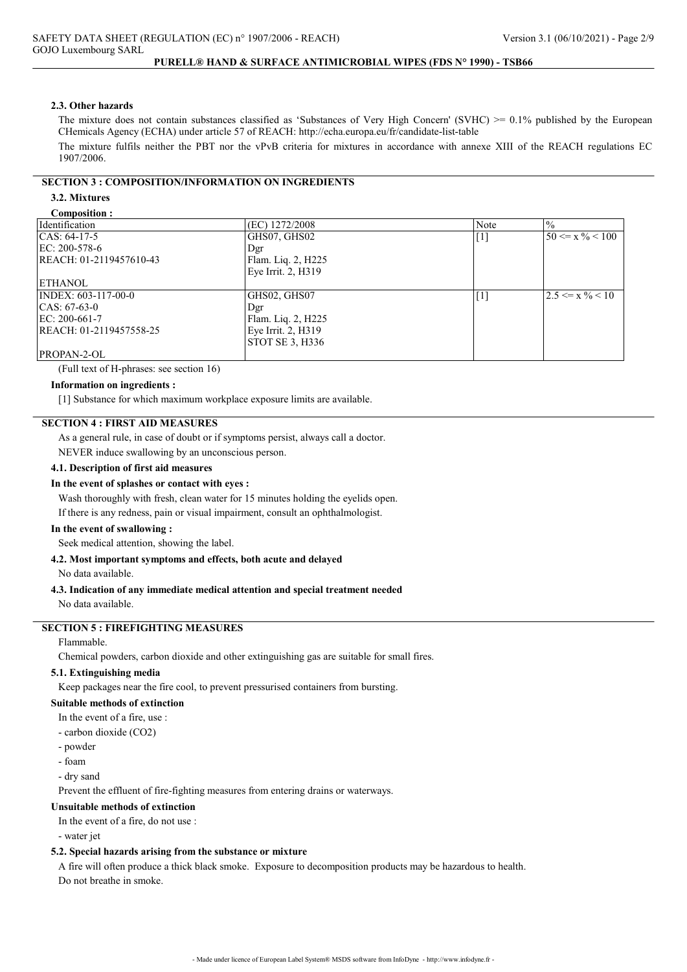#### 2.3. Other hazards

The mixture does not contain substances classified as 'Substances of Very High Concern' (SVHC)  $>0.1\%$  published by the European CHemicals Agency (ECHA) under article 57 of REACH: http://echa.europa.eu/fr/candidate-list-table

The mixture fulfils neither the PBT nor the vPvB criteria for mixtures in accordance with annexe XIII of the REACH regulations EC 1907/2006.

### SECTION 3 : COMPOSITION/INFORMATION ON INGREDIENTS

## 3.2. Mixtures

#### Composition :

| composition :           |                    |                                                                                                                                                                                                                                                                                                                                                                                                                                                                                                                                                                                                                                                                                                                                                                                                                                                                                                                                     |                              |
|-------------------------|--------------------|-------------------------------------------------------------------------------------------------------------------------------------------------------------------------------------------------------------------------------------------------------------------------------------------------------------------------------------------------------------------------------------------------------------------------------------------------------------------------------------------------------------------------------------------------------------------------------------------------------------------------------------------------------------------------------------------------------------------------------------------------------------------------------------------------------------------------------------------------------------------------------------------------------------------------------------|------------------------------|
| Identification          | (EC) 1272/2008     | Note                                                                                                                                                                                                                                                                                                                                                                                                                                                                                                                                                                                                                                                                                                                                                                                                                                                                                                                                | $^{0}/_{0}$                  |
| CAS: 64-17-5            | GHS07, GHS02       | $[1] % \includegraphics[width=0.9\columnwidth]{figures/fig_1a} \caption{The image shows the number of times of the estimators in the right, the number of times of the right, the number of times of the right, the number of times of the right, the number of times of the right, the number of times of the right, the number of times of the right, the number of times of the right, the number of times of the right, the number of times of the right, the number of times of the right, the number of times of the right, the number of times of the right, the number of times of the right, the number of times of the right, the number of times of the right, the number of times of the right, the number of times of the right, the number of times of the right, the number of times of the right, the number of times of the right, the number of times of the right, the number of times of the right, the number$ | $50 \le x \frac{9}{6} < 100$ |
| EC: 200-578-6           | Dgr                |                                                                                                                                                                                                                                                                                                                                                                                                                                                                                                                                                                                                                                                                                                                                                                                                                                                                                                                                     |                              |
| REACH: 01-2119457610-43 | Flam. Liq. 2, H225 |                                                                                                                                                                                                                                                                                                                                                                                                                                                                                                                                                                                                                                                                                                                                                                                                                                                                                                                                     |                              |
|                         | Eye Irrit. 2, H319 |                                                                                                                                                                                                                                                                                                                                                                                                                                                                                                                                                                                                                                                                                                                                                                                                                                                                                                                                     |                              |
| ETHANOL                 |                    |                                                                                                                                                                                                                                                                                                                                                                                                                                                                                                                                                                                                                                                                                                                                                                                                                                                                                                                                     |                              |
| INDEX: 603-117-00-0     | GHS02, GHS07       | $[1]$                                                                                                                                                                                                                                                                                                                                                                                                                                                                                                                                                                                                                                                                                                                                                                                                                                                                                                                               | $2.5 \le x \% \le 10$        |
| CAS: 67-63-0            | Dgr                |                                                                                                                                                                                                                                                                                                                                                                                                                                                                                                                                                                                                                                                                                                                                                                                                                                                                                                                                     |                              |
| EC: 200-661-7           | Flam. Liq. 2, H225 |                                                                                                                                                                                                                                                                                                                                                                                                                                                                                                                                                                                                                                                                                                                                                                                                                                                                                                                                     |                              |
| REACH: 01-2119457558-25 | Eye Irrit. 2, H319 |                                                                                                                                                                                                                                                                                                                                                                                                                                                                                                                                                                                                                                                                                                                                                                                                                                                                                                                                     |                              |
|                         | STOT SE 3, H336    |                                                                                                                                                                                                                                                                                                                                                                                                                                                                                                                                                                                                                                                                                                                                                                                                                                                                                                                                     |                              |
| PROPAN-2-OL             |                    |                                                                                                                                                                                                                                                                                                                                                                                                                                                                                                                                                                                                                                                                                                                                                                                                                                                                                                                                     |                              |

(Full text of H-phrases: see section 16)

#### Information on ingredients :

[1] Substance for which maximum workplace exposure limits are available.

### SECTION 4 : FIRST AID MEASURES

As a general rule, in case of doubt or if symptoms persist, always call a doctor.

NEVER induce swallowing by an unconscious person.

#### 4.1. Description of first aid measures

#### In the event of splashes or contact with eyes :

Wash thoroughly with fresh, clean water for 15 minutes holding the eyelids open. If there is any redness, pain or visual impairment, consult an ophthalmologist.

#### In the event of swallowing :

Seek medical attention, showing the label.

#### 4.2. Most important symptoms and effects, both acute and delayed

No data available.

# 4.3. Indication of any immediate medical attention and special treatment needed

No data available.

# SECTION 5 : FIREFIGHTING MEASURES

#### Flammable.

Chemical powders, carbon dioxide and other extinguishing gas are suitable for small fires.

#### 5.1. Extinguishing media

Keep packages near the fire cool, to prevent pressurised containers from bursting.

### Suitable methods of extinction

In the event of a fire, use :

- carbon dioxide (CO2)

- powder
- foam
- dry sand

Prevent the effluent of fire-fighting measures from entering drains or waterways.

#### Unsuitable methods of extinction

In the event of a fire, do not use :

- water jet

### 5.2. Special hazards arising from the substance or mixture

A fire will often produce a thick black smoke. Exposure to decomposition products may be hazardous to health. Do not breathe in smoke.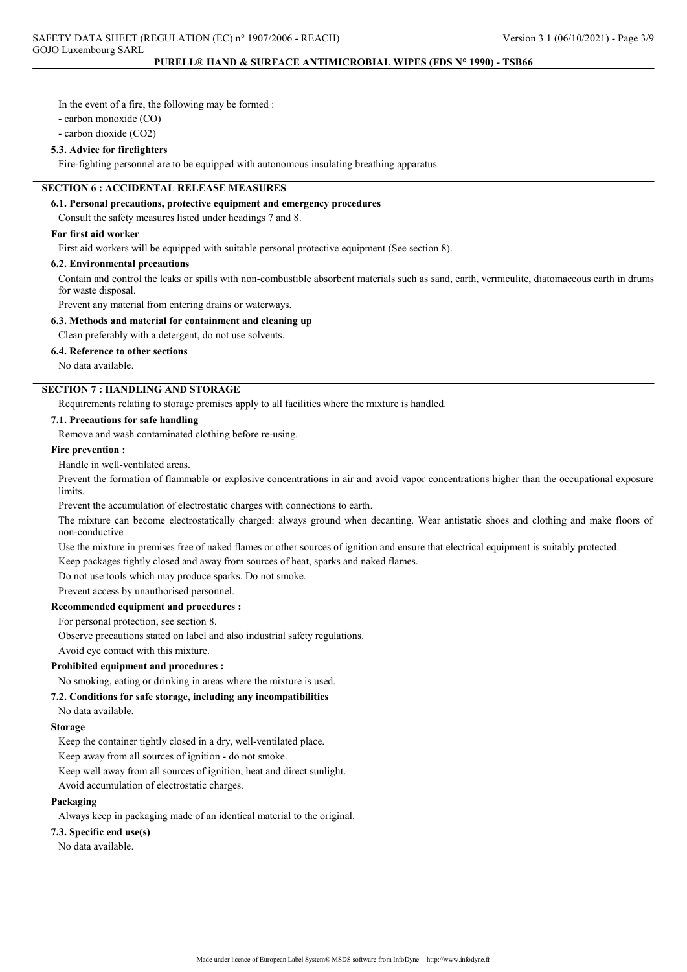In the event of a fire, the following may be formed :

- carbon monoxide (CO)

- carbon dioxide (CO2)

### 5.3. Advice for firefighters

Fire-fighting personnel are to be equipped with autonomous insulating breathing apparatus.

### SECTION 6 : ACCIDENTAL RELEASE MEASURES

#### 6.1. Personal precautions, protective equipment and emergency procedures

Consult the safety measures listed under headings 7 and 8.

### For first aid worker

First aid workers will be equipped with suitable personal protective equipment (See section 8).

#### 6.2. Environmental precautions

Contain and control the leaks or spills with non-combustible absorbent materials such as sand, earth, vermiculite, diatomaceous earth in drums for waste disposal.

Prevent any material from entering drains or waterways.

### 6.3. Methods and material for containment and cleaning up

Clean preferably with a detergent, do not use solvents.

### 6.4. Reference to other sections

No data available.

## SECTION 7 : HANDLING AND STORAGE

Requirements relating to storage premises apply to all facilities where the mixture is handled.

#### 7.1. Precautions for safe handling

Remove and wash contaminated clothing before re-using.

### Fire prevention :

Handle in well-ventilated areas.

Prevent the formation of flammable or explosive concentrations in air and avoid vapor concentrations higher than the occupational exposure **limits** 

Prevent the accumulation of electrostatic charges with connections to earth.

The mixture can become electrostatically charged: always ground when decanting. Wear antistatic shoes and clothing and make floors of non-conductive

Use the mixture in premises free of naked flames or other sources of ignition and ensure that electrical equipment is suitably protected.

Keep packages tightly closed and away from sources of heat, sparks and naked flames.

Do not use tools which may produce sparks. Do not smoke.

Prevent access by unauthorised personnel.

### Recommended equipment and procedures :

For personal protection, see section 8.

Observe precautions stated on label and also industrial safety regulations.

Avoid eye contact with this mixture.

#### Prohibited equipment and procedures :

No smoking, eating or drinking in areas where the mixture is used.

### 7.2. Conditions for safe storage, including any incompatibilities

No data available.

### Storage

Keep the container tightly closed in a dry, well-ventilated place.

Keep away from all sources of ignition - do not smoke.

Keep well away from all sources of ignition, heat and direct sunlight.

Avoid accumulation of electrostatic charges.

### Packaging

Always keep in packaging made of an identical material to the original.

#### 7.3. Specific end use(s)

No data available.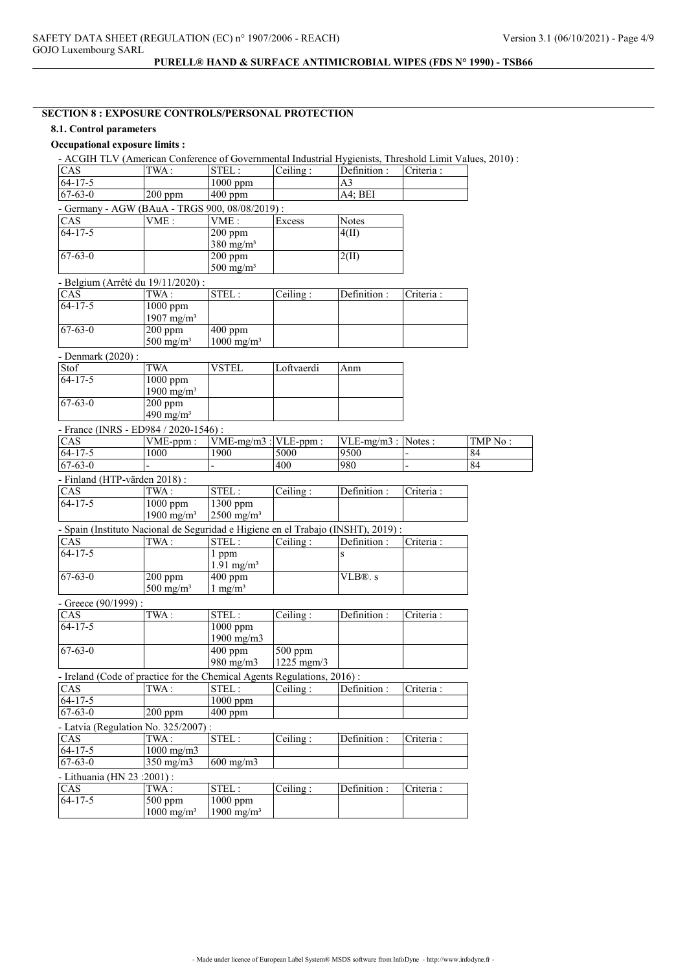## SECTION 8 : EXPOSURE CONTROLS/PERSONAL PROTECTION

## 8.1. Control parameters

## Occupational exposure limits :

|                             | - ACGIH TLV (American Conference of Governmental Industrial Hygienists, Threshold Limit Values, 2010) : |                          |                               |                       |            |         |
|-----------------------------|---------------------------------------------------------------------------------------------------------|--------------------------|-------------------------------|-----------------------|------------|---------|
| CAS                         | TWA:                                                                                                    | STEL:                    | Ceiling:                      | Definition :          | Criteria:  |         |
| $64 - 17 - 5$               |                                                                                                         | 1000 ppm                 |                               | A3                    |            |         |
| $67 - 63 - 0$               | $200$ ppm                                                                                               | 400 ppm                  |                               | A4; BEI               |            |         |
|                             | - Germany - AGW (BAuA - TRGS 900, 08/08/2019) :                                                         |                          |                               |                       |            |         |
| CAS                         | VME:                                                                                                    | VME:                     | Excess                        | <b>Notes</b>          |            |         |
| $64 - 17 - 5$               |                                                                                                         | $200$ ppm                |                               | 4(II)                 |            |         |
|                             |                                                                                                         | $380$ mg/m <sup>3</sup>  |                               |                       |            |         |
| $67 - 63 - 0$               |                                                                                                         | $\overline{200}$ ppm     |                               | 2(II)                 |            |         |
|                             |                                                                                                         | $500$ mg/m <sup>3</sup>  |                               |                       |            |         |
|                             | - Belgium (Arrêté du 19/11/2020) :                                                                      |                          |                               |                       |            |         |
| CAS                         | TWA:                                                                                                    | STEL:                    | Ceiling:                      | Definition:           | Criteria:  |         |
| $64 - 17 - 5$               | $1000$ ppm                                                                                              |                          |                               |                       |            |         |
|                             | 1907 mg/m <sup>3</sup>                                                                                  |                          |                               |                       |            |         |
| $67 - 63 - 0$               | $200$ ppm                                                                                               | 400 ppm                  |                               |                       |            |         |
|                             | $500$ mg/m <sup>3</sup>                                                                                 | $1000$ mg/m <sup>3</sup> |                               |                       |            |         |
|                             |                                                                                                         |                          |                               |                       |            |         |
| - Denmark (2020) :          |                                                                                                         |                          |                               |                       |            |         |
| Stof                        | <b>TWA</b>                                                                                              | <b>VSTEL</b>             | Loftvaerdi                    | Anm                   |            |         |
| $64 - 17 - 5$               | $1000$ ppm                                                                                              |                          |                               |                       |            |         |
|                             | 1900 mg/m <sup>3</sup>                                                                                  |                          |                               |                       |            |         |
| $67 - 63 - 0$               | 200 ppm                                                                                                 |                          |                               |                       |            |         |
|                             | 490 mg/m <sup>3</sup>                                                                                   |                          |                               |                       |            |         |
|                             | - France (INRS - ED984 / 2020-1546) :                                                                   |                          |                               |                       |            |         |
| CAS                         | VME-ppm:                                                                                                | $VME-mg/m3$ :            | $\overline{\text{VLE-ppm}}$ : | $VLE-mg/m3$ : Notes : |            | TMP No: |
| $64 - 17 - 5$               | 1000                                                                                                    | 1900                     | 5000                          | 9500                  |            | 84      |
| $67 - 63 - 0$               |                                                                                                         |                          | 400                           | 980                   |            | 84      |
|                             | - Finland (HTP-värden 2018):                                                                            |                          |                               |                       |            |         |
| CAS                         | $\overline{\text{TWA}}$ :                                                                               | STEL:                    | Ceiling:                      | Definition:           | Criteria:  |         |
| $64 - 17 - 5$               | $1000$ ppm                                                                                              | 1300 ppm                 |                               |                       |            |         |
|                             | 1900 mg/m <sup>3</sup>                                                                                  | $2500$ mg/m <sup>3</sup> |                               |                       |            |         |
|                             |                                                                                                         |                          |                               |                       |            |         |
|                             | - Spain (Instituto Nacional de Seguridad e Higiene en el Trabajo (INSHT), 2019) :                       |                          |                               |                       |            |         |
| CAS                         | TWA:                                                                                                    | STEL:                    | Ceiling:                      | Definition:           | Criteria : |         |
| $64 - 17 - 5$               |                                                                                                         | 1 ppm                    |                               | S                     |            |         |
|                             |                                                                                                         | $1.91$ mg/m <sup>3</sup> |                               |                       |            |         |
| $67 - 63 - 0$               | 200 ppm                                                                                                 | 400 ppm                  |                               | VLB®. s               |            |         |
|                             | $500$ mg/m <sup>3</sup>                                                                                 | $1 \text{ mg/m}^3$       |                               |                       |            |         |
| - Greece $(90/1999)$ :      |                                                                                                         |                          |                               |                       |            |         |
| $\overline{\text{CAS}}$     | TWA:                                                                                                    | STEL:                    | Ceiling:                      | Definition:           | Criteria : |         |
| $64 - 17 - 5$               |                                                                                                         | 1000 ppm                 |                               |                       |            |         |
|                             |                                                                                                         | 1900 mg/m3               |                               |                       |            |         |
| $67 - 63 - 0$               |                                                                                                         | 400 ppm                  | $500$ ppm                     |                       |            |         |
|                             |                                                                                                         | 980 mg/m3                | $1225$ mgm $/3$               |                       |            |         |
|                             | - Ireland (Code of practice for the Chemical Agents Regulations, 2016):                                 |                          |                               |                       |            |         |
| CAS                         | TWA:                                                                                                    | STEL:                    | Ceiling:                      | Definition :          | Criteria : |         |
| $64 - 17 - 5$               |                                                                                                         | 1000 ppm                 |                               |                       |            |         |
| $67 - 63 - 0$               | $200$ ppm                                                                                               | $400$ ppm                |                               |                       |            |         |
|                             | - Latvia (Regulation No. 325/2007) :                                                                    |                          |                               |                       |            |         |
| CAS                         | TWA:                                                                                                    |                          |                               |                       |            |         |
|                             |                                                                                                         | $\texttt{STEL}:$         | Ceiling:                      | Definition :          | Criteria : |         |
| $64 - 17 - 5$               | $1000 \text{ mg/m}$                                                                                     |                          |                               |                       |            |         |
| $67 - 63 - 0$               | $350 \text{ mg/m}$                                                                                      | $600 \text{ mg/m}$       |                               |                       |            |         |
| - Lithuania (HN 23 :2001) : |                                                                                                         |                          |                               |                       |            |         |
| CAS                         | TWA:                                                                                                    | STEL:                    | Ceiling:                      | Definition :          | Criteria : |         |
| $64-17-5$                   | 500 ppm                                                                                                 | $\overline{1000}$ ppm    |                               |                       |            |         |
|                             | $1000$ mg/m <sup>3</sup>                                                                                | 1900 mg/m <sup>3</sup>   |                               |                       |            |         |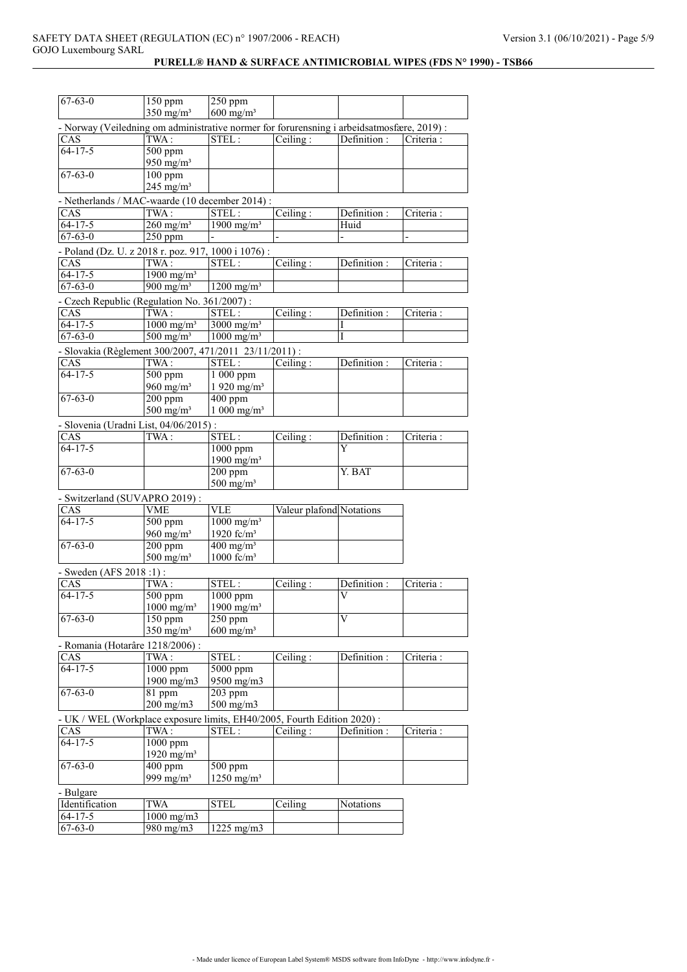| $67 - 63 - 0$                                                                              | 150 ppm                          | 250 ppm                                            |                       |                          |            |
|--------------------------------------------------------------------------------------------|----------------------------------|----------------------------------------------------|-----------------------|--------------------------|------------|
|                                                                                            | $350$ mg/m <sup>3</sup>          | $600$ mg/m <sup>3</sup>                            |                       |                          |            |
| - Norway (Veiledning om administrative normer for forurensning i arbeidsatmosfære, 2019) : |                                  |                                                    |                       |                          |            |
| CAS                                                                                        | TWA:                             | STEL:                                              | Ceiling:              | Definition :             | Criteria : |
| $64 - 17 - 5$                                                                              | 500 ppm<br>950 mg/m <sup>3</sup> |                                                    |                       |                          |            |
| $67 - 63 - 0$                                                                              | $100$ ppm                        |                                                    |                       |                          |            |
|                                                                                            | $245$ mg/m <sup>3</sup>          |                                                    |                       |                          |            |
| - Netherlands / MAC-waarde (10 december 2014) :                                            |                                  |                                                    |                       |                          |            |
| CAS                                                                                        | TWA:                             | STEL:                                              | $\overline{Ceiling}:$ | Definition :             | Criteria : |
| $64 - 17 - 5$                                                                              | $260$ mg/m <sup>3</sup>          | 1900 mg/m <sup>3</sup>                             |                       | Huid                     |            |
| $67 - 63 - 0$                                                                              | $250$ ppm                        |                                                    |                       |                          |            |
| - Poland (Dz. U. z 2018 r. poz. 917, 1000 i 1076) :                                        |                                  |                                                    |                       |                          |            |
| CAS                                                                                        | TWA:                             | STEL:                                              | Ceiling:              | Definition:              | Criteria : |
| $64-17-5$                                                                                  | $\frac{1900 \text{ mg/m}^3}{2}$  |                                                    |                       |                          |            |
| $67 - 63 - 0$                                                                              | $900 \text{ mg/m}^3$             | $1200$ mg/m <sup>3</sup>                           |                       |                          |            |
| - Czech Republic (Regulation No. 361/2007):                                                |                                  |                                                    |                       |                          |            |
| CAS                                                                                        | TWA:                             | STEL:                                              | Ceiling:              | Definition :             | Criteria:  |
| $64 - 17 - 5$                                                                              | $1000$ mg/m <sup>3</sup>         | 3000 mg/m <sup>3</sup>                             |                       | I                        |            |
| $67 - 63 - 0$                                                                              | $500 \text{ mg/m}^3$             | $1000$ mg/m <sup>3</sup>                           |                       | I                        |            |
| - Slovakia (Règlement 300/2007, 471/2011 23/11/2011) :                                     |                                  |                                                    |                       |                          |            |
|                                                                                            | TWA:                             | STEL:                                              | Ceiling:              | Definition :             | Criteria:  |
| CAS<br>$64 - 17 - 5$                                                                       | $500$ ppm                        | $1000$ ppm                                         |                       |                          |            |
|                                                                                            | 960 mg/m $3$                     | $1920$ mg/m <sup>3</sup>                           |                       |                          |            |
| $67 - 63 - 0$                                                                              | 200 ppm                          | $400$ ppm                                          |                       |                          |            |
|                                                                                            | $500$ mg/m <sup>3</sup>          | $1000$ mg/m <sup>3</sup>                           |                       |                          |            |
|                                                                                            |                                  |                                                    |                       |                          |            |
| - Slovenia (Uradni List, 04/06/2015) :                                                     |                                  |                                                    |                       |                          |            |
| CAS                                                                                        | TWA:                             | STEL:                                              | Ceiling:              | Definition :             | Criteria : |
| $64 - 17 - 5$                                                                              |                                  | $1000$ ppm<br>1900 mg/m <sup>3</sup>               |                       | Y                        |            |
| $67 - 63 - 0$                                                                              |                                  | $200$ ppm                                          |                       | Y. BAT                   |            |
|                                                                                            |                                  | $500$ mg/m <sup>3</sup>                            |                       |                          |            |
|                                                                                            |                                  |                                                    |                       |                          |            |
| - Switzerland (SUVAPRO 2019):                                                              |                                  |                                                    |                       |                          |            |
| CAS<br>$64 - 17 - 5$                                                                       | <b>VME</b>                       | <b>VLE</b>                                         |                       | Valeur plafond Notations |            |
|                                                                                            | $500$ ppm                        | $1000$ mg/m <sup>3</sup><br>1920 fc/m <sup>3</sup> |                       |                          |            |
|                                                                                            | 960 mg/m <sup>3</sup>            | $400$ mg/m <sup>3</sup>                            |                       |                          |            |
| $67 - 63 - 0$                                                                              | $\overline{200}$ ppm             | $1000$ fc/m <sup>3</sup>                           |                       |                          |            |
|                                                                                            | $500$ mg/m <sup>3</sup>          |                                                    |                       |                          |            |
| - Sweden (AFS 2018 :1) :                                                                   |                                  |                                                    |                       |                          |            |
| CAS                                                                                        | TWA:                             | STEL:                                              | Ceiling:              | Definition :             | Criteria:  |
| $64 - 17 - 5$                                                                              | 500 ppm                          | 1000 ppm                                           |                       | V                        |            |
|                                                                                            | $1000$ mg/m <sup>3</sup>         | 1900 mg/m $3$                                      |                       |                          |            |
| $67 - 63 - 0$                                                                              | 150 ppm                          | 250 ppm                                            |                       | V                        |            |
|                                                                                            | $350$ mg/m <sup>3</sup>          | $600 \text{ mg/m}^3$                               |                       |                          |            |
| - Romania (Hotarâre 1218/2006) :                                                           |                                  |                                                    |                       |                          |            |
| CAS                                                                                        | TWA:                             | STEL:                                              | Ceiling:              | Definition:              | Criteria:  |
| $64 - 17 - 5$                                                                              | $1000$ ppm                       | $5000$ ppm                                         |                       |                          |            |
|                                                                                            | 1900 mg/m3                       | 9500 mg/m3                                         |                       |                          |            |
| $67 - 63 - 0$                                                                              | 81 ppm                           | 203 ppm                                            |                       |                          |            |
|                                                                                            | $200$ mg/m $3$                   | $500$ mg/m $3$                                     |                       |                          |            |
| - UK / WEL (Workplace exposure limits, EH40/2005, Fourth Edition 2020) :                   |                                  |                                                    |                       |                          |            |
| CAS                                                                                        | TWA:                             | STEL:                                              | Ceiling:              | Definition :             | Criteria : |
| $64-17-5$                                                                                  | 1000 ppm                         |                                                    |                       |                          |            |
|                                                                                            | 1920 mg/m <sup>3</sup>           |                                                    |                       |                          |            |
| $67 - 63 - 0$                                                                              | 400 ppm                          | $\overline{500}$ ppm                               |                       |                          |            |
|                                                                                            | 999 mg/m <sup>3</sup>            | $1250 \text{ mg/m}^3$                              |                       |                          |            |
| - Bulgare                                                                                  |                                  |                                                    |                       |                          |            |
| Identification                                                                             | <b>TWA</b>                       | <b>STEL</b>                                        | Ceiling               | Notations                |            |
| $64 - 17 - 5$                                                                              | $1000$ mg/m $3$                  |                                                    |                       |                          |            |
| $67 - 63 - 0$                                                                              | $980$ mg/m $3$                   | 1225 mg/m3                                         |                       |                          |            |
|                                                                                            |                                  |                                                    |                       |                          |            |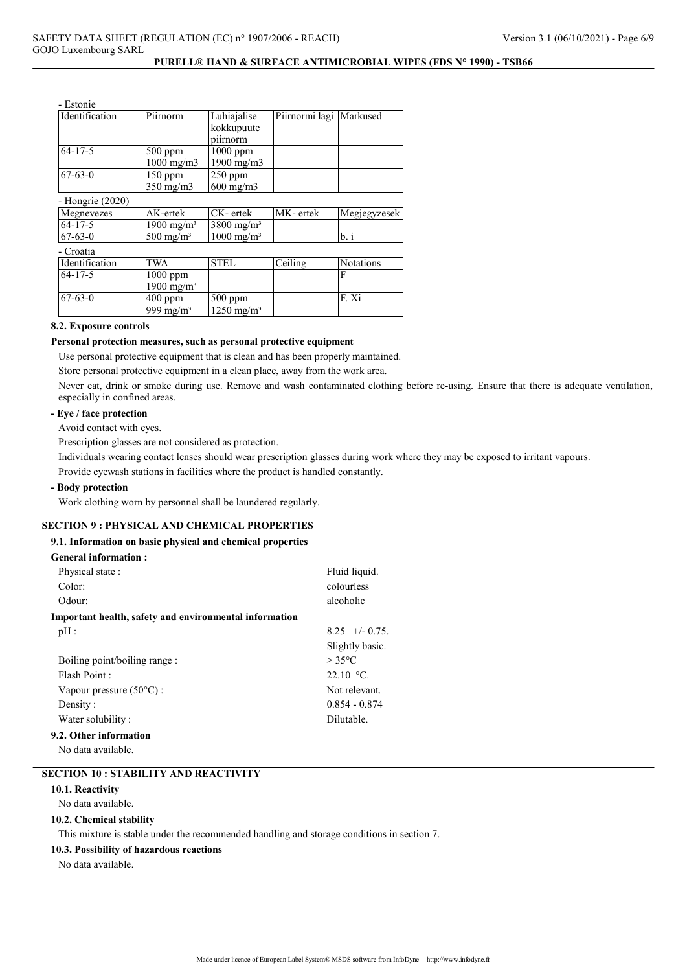| - Estonie        |                        |                        |                           |                  |
|------------------|------------------------|------------------------|---------------------------|------------------|
| Identification   | Piirnorm               | Luhiajalise            | Piirnormi lagi   Markused |                  |
|                  |                        | kokkupuute             |                           |                  |
|                  |                        | piirnorm               |                           |                  |
| $64 - 17 - 5$    | $500$ ppm              | $1000$ ppm             |                           |                  |
|                  | 1000 mg/m3             | 1900 mg/m3             |                           |                  |
| $67 - 63 - 0$    | $150$ ppm              | $250$ ppm              |                           |                  |
|                  | $350$ mg/m $3$         | $600$ mg/m $3$         |                           |                  |
| - Hongrie (2020) |                        |                        |                           |                  |
| Megnevezes       | AK-ertek               | CK-ertek               | MK-ertek                  | Megjegyzesek     |
| $64 - 17 - 5$    | $1900 \text{ mg/m}^3$  | $3800 \text{ mg/m}^3$  |                           |                  |
| $67 - 63 - 0$    | $500 \text{ mg/m}^3$   | $1000 \text{ mg/m}^3$  |                           | b. i             |
| - Croatia        |                        |                        |                           |                  |
| Identification   | <b>TWA</b>             | <b>STEL</b>            | Ceiling                   | <b>Notations</b> |
| $64 - 17 - 5$    | 1000 ppm               |                        |                           | F                |
|                  | 1900 mg/m <sup>3</sup> |                        |                           |                  |
| $67 - 63 - 0$    | $400$ ppm              | 500 ppm                |                           | F.Xi             |
|                  | 999 mg/m <sup>3</sup>  | 1250 mg/m <sup>3</sup> |                           |                  |

## 8.2. Exposure controls

### Personal protection measures, such as personal protective equipment

Use personal protective equipment that is clean and has been properly maintained.

Store personal protective equipment in a clean place, away from the work area.

Never eat, drink or smoke during use. Remove and wash contaminated clothing before re-using. Ensure that there is adequate ventilation, especially in confined areas.

### - Eye / face protection

Avoid contact with eyes.

Prescription glasses are not considered as protection.

Individuals wearing contact lenses should wear prescription glasses during work where they may be exposed to irritant vapours.

Provide eyewash stations in facilities where the product is handled constantly.

### - Body protection

Work clothing worn by personnel shall be laundered regularly.

# SECTION 9 : PHYSICAL AND CHEMICAL PROPERTIES

# 9.1. Information on basic physical and chemical properties

| <b>General information:</b>                                   |                  |
|---------------------------------------------------------------|------------------|
| Physical state:                                               | Fluid liquid.    |
| Color:                                                        | colourless       |
| Odour:                                                        | alcoholic        |
| <b>Important health, safety and environmental information</b> |                  |
| pH:                                                           | $8.25 + (-0.75)$ |
|                                                               | Slightly basic.  |
| Boiling point/boiling range :                                 | $>$ 35°C         |
| Flash Point:                                                  | $22.10 °C$ .     |
| Vapour pressure $(50^{\circ}$ C) :                            | Not relevant.    |
| Density:                                                      | $0.854 - 0.874$  |
| Water solubility:                                             | Dilutable.       |
| 9.2. Other information                                        |                  |

No data available.

### SECTION 10 : STABILITY AND REACTIVITY

### 10.1. Reactivity

No data available.

#### 10.2. Chemical stability

This mixture is stable under the recommended handling and storage conditions in section 7.

### 10.3. Possibility of hazardous reactions

No data available.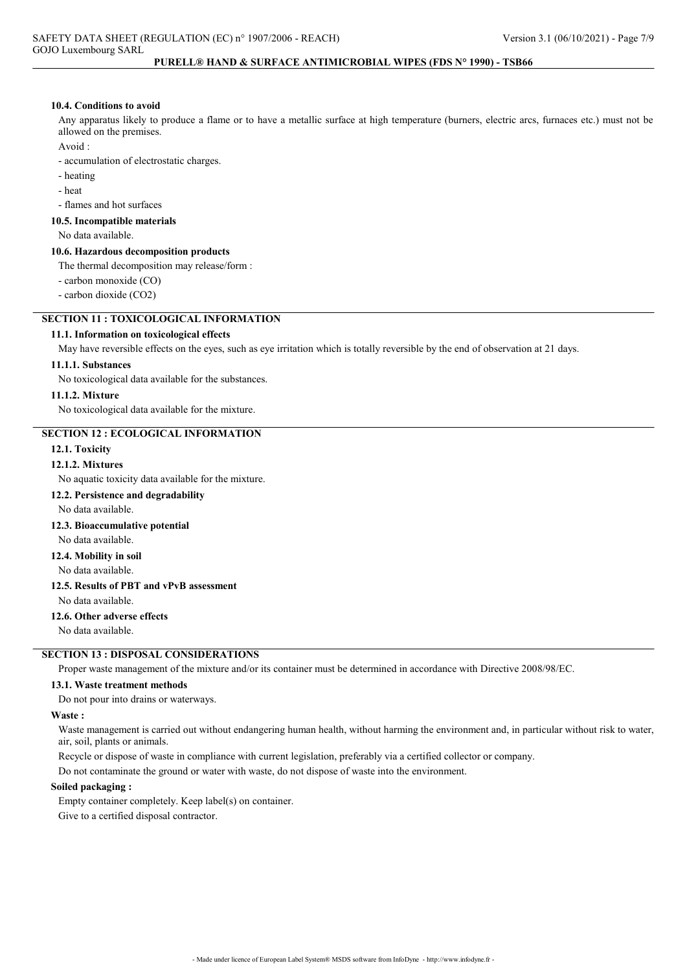#### 10.4. Conditions to avoid

Any apparatus likely to produce a flame or to have a metallic surface at high temperature (burners, electric arcs, furnaces etc.) must not be allowed on the premises.

Avoid :

- accumulation of electrostatic charges.

- heating
- heat

- flames and hot surfaces

#### 10.5. Incompatible materials

No data available.

#### 10.6. Hazardous decomposition products

The thermal decomposition may release/form :

- carbon monoxide (CO)

- carbon dioxide (CO2)

## SECTION 11 : TOXICOLOGICAL INFORMATION

### 11.1. Information on toxicological effects

May have reversible effects on the eyes, such as eye irritation which is totally reversible by the end of observation at 21 days.

#### 11.1.1. Substances

No toxicological data available for the substances.

## 11.1.2. Mixture

No toxicological data available for the mixture.

#### SECTION 12 : ECOLOGICAL INFORMATION

#### 12.1. Toxicity

### 12.1.2. Mixtures

No aquatic toxicity data available for the mixture.

#### 12.2. Persistence and degradability

No data available.

### 12.3. Bioaccumulative potential

No data available.

#### 12.4. Mobility in soil

No data available.

### 12.5. Results of PBT and vPvB assessment

No data available.

### 12.6. Other adverse effects

No data available.

## SECTION 13 : DISPOSAL CONSIDERATIONS

Proper waste management of the mixture and/or its container must be determined in accordance with Directive 2008/98/EC.

#### 13.1. Waste treatment methods

Do not pour into drains or waterways.

#### Waste :

Waste management is carried out without endangering human health, without harming the environment and, in particular without risk to water, air, soil, plants or animals.

Recycle or dispose of waste in compliance with current legislation, preferably via a certified collector or company.

Do not contaminate the ground or water with waste, do not dispose of waste into the environment.

#### Soiled packaging :

Empty container completely. Keep label(s) on container. Give to a certified disposal contractor.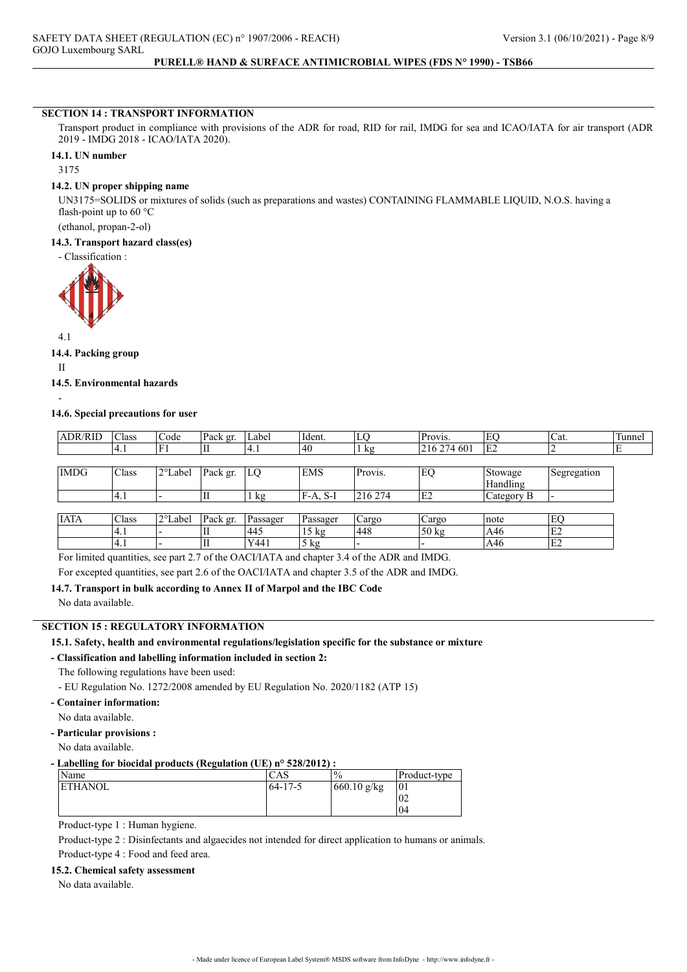### SECTION 14 : TRANSPORT INFORMATION

Transport product in compliance with provisions of the ADR for road, RID for rail, IMDG for sea and ICAO/IATA for air transport (ADR 2019 - IMDG 2018 - ICAO/IATA 2020).

#### 14.1. UN number

3175

#### 14.2. UN proper shipping name

UN3175=SOLIDS or mixtures of solids (such as preparations and wastes) CONTAINING FLAMMABLE LIQUID, N.O.S. having a flash-point up to 60 °C

(ethanol, propan-2-ol)

#### 14.3. Transport hazard class(es)

- Classification :



## 14.4. Packing group

II

-

### 14.5. Environmental hazards

### 14.6. Special precautions for user

| <b>ADR/RID</b> | Class        | Code    | Pack gr.  | Label          | Ident.          | LO      | Provis.         | EO             | Cat.        | Tunnel |
|----------------|--------------|---------|-----------|----------------|-----------------|---------|-----------------|----------------|-------------|--------|
|                | 4.1          | F1      | ΊI        | 4.1            | 40              | kg      | 216 274 601     | E <sub>2</sub> |             | ΙE     |
|                |              |         |           |                |                 |         |                 |                |             |        |
| <b>IMDG</b>    | <b>Class</b> | 2°Label | Pack gr.  | LQ             | <b>EMS</b>      | Provis. | EQ              | Stowage        | Segregation |        |
|                |              |         |           |                |                 |         |                 | Handling       |             |        |
|                | 4.1          |         | П         | $1 \text{ kg}$ | $F-A, S-I$      | 216 274 | E2              | Category B     |             |        |
|                |              |         |           |                |                 |         |                 |                |             |        |
| <b>IATA</b>    | Class        | 2°Label | Pack gr.  | Passager       | Passager        | Cargo   | Cargo           | note           | EO          |        |
|                | 4.1          |         | П         | 445            | $15 \text{ kg}$ | 448     | $50 \text{ kg}$ | A46            | E2          |        |
|                | 4.1          |         | $\rm{II}$ | Y441           | $5$ kg          |         |                 | A46            | E2          |        |

For limited quantities, see part 2.7 of the OACI/IATA and chapter 3.4 of the ADR and IMDG.

For excepted quantities, see part 2.6 of the OACI/IATA and chapter 3.5 of the ADR and IMDG.

# 14.7. Transport in bulk according to Annex II of Marpol and the IBC Code

No data available.

### SECTION 15 : REGULATORY INFORMATION

# 15.1. Safety, health and environmental regulations/legislation specific for the substance or mixture

### - Classification and labelling information included in section 2:

The following regulations have been used:

- EU Regulation No. 1272/2008 amended by EU Regulation No. 2020/1182 (ATP 15)

## - Container information:

No data available.

- Particular provisions :

No data available.

#### - Labelling for biocidal products (Regulation (UE) n° 528/2012) :

| Name     | CAS           | $\frac{0}{6}$ | Product-type    |
|----------|---------------|---------------|-----------------|
| 'ETHANOL | $64 - 17 - 5$ | 660.10 g/kg   | 10 <sub>1</sub> |
|          |               |               | UZ              |
|          |               |               | 04              |

Product-type 1 : Human hygiene.

Product-type 2 : Disinfectants and algaecides not intended for direct application to humans or animals. Product-type 4 : Food and feed area.

#### 15.2. Chemical safety assessment

No data available.